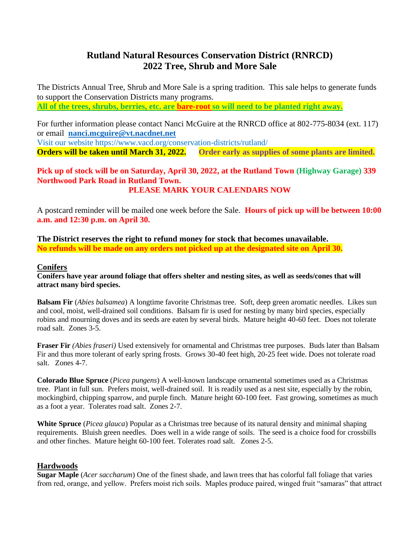# **Rutland Natural Resources Conservation District (RNRCD) 2022 Tree, Shrub and More Sale**

The Districts Annual Tree, Shrub and More Sale is a spring tradition. This sale helps to generate funds to support the Conservation Districts many programs. **All of the trees, shrubs, berries, etc. are bare-root so will need to be planted right away.**

For further information please contact Nanci McGuire at the RNRCD office at 802-775-8034 (ext. 117) or email **[nanci.mcguire@vt.nacdnet.net](mailto:nanci.mcguire@vt.nacdnet.net)**

Visit our website https://www.vacd.org/conservation-districts/rutland/

**Orders will be taken until March 31, 2022. Order early as supplies of some plants are limited.** 

## **Pick up of stock will be on Saturday, April 30, 2022, at the Rutland Town (Highway Garage) 339 Northwood Park Road in Rutland Town. PLEASE MARK YOUR CALENDARS NOW**

A postcard reminder will be mailed one week before the Sale. **Hours of pick up will be between 10:00 a.m. and 12:30 p.m. on April 30.**

**The District reserves the right to refund money for stock that becomes unavailable. No refunds will be made on any orders not picked up at the designated site on April 30.**

# **Conifers**

**Conifers have year around foliage that offers shelter and nesting sites, as well as seeds/cones that will attract many bird species.**

**Balsam Fir** (*Abies balsamea*) A longtime favorite Christmas tree. Soft, deep green aromatic needles. Likes sun and cool, moist, well-drained soil conditions. Balsam fir is used for nesting by many bird species, especially robins and mourning doves and its seeds are eaten by several birds. Mature height 40-60 feet. Does not tolerate road salt. Zones 3-5.

**Fraser Fir** *(Abies fraseri)* Used extensively for ornamental and Christmas tree purposes. Buds later than Balsam Fir and thus more tolerant of early spring frosts. Grows 30-40 feet high, 20-25 feet wide. Does not tolerate road salt. Zones 4-7.

**Colorado Blue Spruce** (*Picea pungens*) A well-known landscape ornamental sometimes used as a Christmas tree. Plant in full sun. Prefers moist, well-drained soil. It is readily used as a nest site, especially by the robin, mockingbird, chipping sparrow, and purple finch. Mature height 60-100 feet. Fast growing, sometimes as much as a foot a year. Tolerates road salt. Zones 2-7.

**White Spruce** (*Picea glauca*) Popular as a Christmas tree because of its natural density and minimal shaping requirements. Bluish green needles. Does well in a wide range of soils. The seed is a choice food for crossbills and other finches. Mature height 60-100 feet. Tolerates road salt. Zones 2-5.

# **Hardwoods**

**Sugar Maple** (*Acer saccharum*) One of the finest shade, and lawn trees that has colorful fall foliage that varies from red, orange, and yellow. Prefers moist rich soils. Maples produce paired, winged fruit "samaras" that attract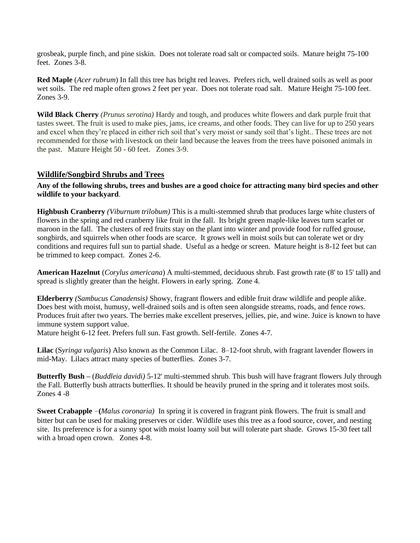grosbeak, purple finch, and pine siskin. Does not tolerate road salt or compacted soils. Mature height 75-100 feet. Zones 3-8.

**Red Maple** (*Acer rubrum*) In fall this tree has bright red leaves. Prefers rich, well drained soils as well as poor wet soils. The red maple often grows 2 feet per year. Does not tolerate road salt. Mature Height 75-100 feet. Zones 3-9.

**Wild Black Cherry** *(Prunus serotina)* Hardy and tough, and produces white flowers and dark purple fruit that tastes sweet. The fruit is used to make pies, jams, ice creams, and other foods. They can live for up to 250 years and excel when they're placed in either rich soil that's very moist or sandy soil that's light.. These trees are not recommended for those with livestock on their land because the leaves from the trees have poisoned animals in the past. Mature Height 50 - 60 feet. Zones 3-9.

## **Wildlife/Songbird Shrubs and Trees**

#### **Any of the following shrubs, trees and bushes are a good choice for attracting many bird species and other wildlife to your backyard**.

**Highbush Cranberry** *(Viburnum trilobum)* This is a multi-stemmed shrub that produces large white clusters of flowers in the spring and red cranberry like fruit in the fall. Its bright green maple-like leaves turn scarlet or maroon in the fall. The clusters of red fruits stay on the plant into winter and provide food for ruffed grouse, songbirds, and squirrels when other foods are scarce. It grows well in moist soils but can tolerate wet or dry conditions and requires full sun to partial shade. Useful as a hedge or screen. Mature height is 8-12 feet but can be trimmed to keep compact. Zones 2-6.

**American Hazelnut** (*Corylus americana*) A multi-stemmed, deciduous shrub. Fast growth rate (8' to 15' tall) and spread is slightly greater than the height. Flowers in early spring. Zone 4.

**Elderberry** *(Sambucus Canadensis)* Showy, fragrant flowers and edible fruit draw wildlife and people alike. Does best with moist, humusy, well-drained soils and is often seen alongside streams, roads, and fence rows. Produces fruit after two years. The berries make excellent preserves, jellies, pie, and wine. Juice is known to have immune system support value.

Mature height 6-12 feet. Prefers full sun. Fast growth. Self-fertile. Zones 4-7.

**Lilac** (S*yringa vulgaris*) Also known as the Common Lilac. 8–12-foot shrub, with fragrant lavender flowers in mid-May. Lilacs attract many species of butterflies. Zones 3-7.

**Butterfly Bush –** (*Buddleia davidi)* 5-12' multi-stemmed shrub. This bush will have fragrant flowers July through the Fall. Butterfly bush attracts butterflies. It should be heavily pruned in the spring and it tolerates most soils. Zones 4 -8

**Sweet Crabapple** –**(***Malus coronaria)*In spring it is covered in fragrant pink flowers. The fruit is small and bitter but can be used for making preserves or cider. Wildlife uses this tree as a food source, cover, and nesting site. Its preference is for a sunny spot with moist loamy soil but will tolerate part shade. Grows 15-30 feet tall with a broad open crown. Zones 4-8.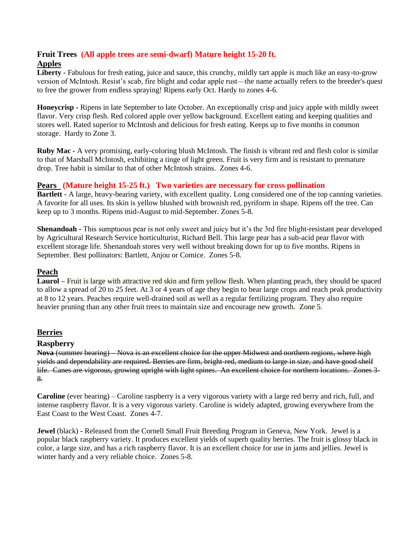# **Fruit Trees (All apple trees are semi-dwarf) Mature height 15-20 ft. Apples**

**Liberty -** Fabulous for fresh eating, juice and sauce, this crunchy, mildly tart apple is much like an easy-to-grow version of McIntosh. Resist's scab, fire blight and cedar apple rust—the name actually refers to the breeder's quest to free the grower from endless spraying! Ripens early Oct. Hardy to zones 4-6.

**Honeycrisp -** Ripens in late September to late October. An exceptionally crisp and juicy apple with mildly sweet flavor. Very crisp flesh. Red colored apple over yellow background. Excellent eating and keeping qualities and stores well. Rated superior to McIntosh and delicious for fresh eating. Keeps up to five months in common storage. Hardy to Zone 3.

**Ruby Mac -** A very promising, early-coloring blush McIntosh. The finish is vibrant red and flesh color is similar to that of Marshall McIntosh, exhibiting a tinge of light green. Fruit is very firm and is resistant to premature drop. Tree habit is similar to that of other McIntosh strains. Zones 4-6.

# **Pears (Mature height 15-25 ft.) Two varieties are necessary for cross pollination**

**Bartlett -** A large, heavy-bearing variety, with excellent quality. Long considered one of the top canning varieties. A favorite for all uses. Its skin is yellow blushed with brownish red, pyriform in shape. Ripens off the tree. Can keep up to 3 months. Ripens mid-August to mid-September. Zones 5-8.

**Shenandoah -** This sumptuous pear is not only sweet and juicy but it's the 3rd fire blight-resistant pear developed by Agricultural Research Service horticulturist, Richard Bell. This large pear has a sub-acid pear flavor with excellent storage life. Shenandoah stores very well without breaking down for up to five months. Ripens in September. Best pollinators: Bartlett, Anjou or Comice. Zones 5-8.

#### **Peach**

**Laurol –** Fruit is large with attractive red skin and firm yellow flesh. When planting peach, they should be spaced to allow a spread of 20 to 25 feet. At 3 or 4 years of age they begin to bear large crops and reach peak productivity at 8 to 12 years. Peaches require well-drained soil as well as a regular fertilizing program. They also require heavier pruning than any other fruit trees to maintain size and encourage new growth. Zone 5.

# **Berries**

#### **Raspberry**

**Nova** (summer bearing) **–** Nova is an excellent choice for the upper Midwest and northern regions, where high yields and dependability are required. Berries are firm, bright-red, medium to large in size, and have good shelf life. Canes are vigorous, growing upright with light spines. An excellent choice for northern locations. Zones 3- 8.

**Caroline** (ever bearing) – Caroline raspberry is a very vigorous variety with a large red berry and rich, full, and intense raspberry flavor. It is a very vigorous variety. Caroline is widely adapted, growing everywhere from the East Coast to the West Coast. Zones 4-7.

**Jewel** (black) **-** Released from the Cornell Small Fruit Breeding Program in Geneva, New York. Jewel is a popular black raspberry variety. It produces excellent yields of superb quality berries. The fruit is glossy black in color, a large size, and has a rich raspberry flavor. It is an excellent choice for use in jams and jellies. Jewel is winter hardy and a very reliable choice. Zones 5-8.